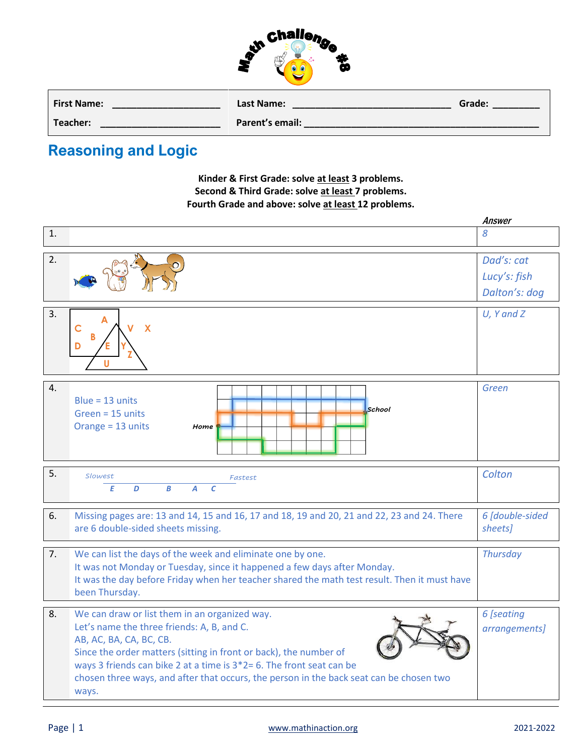

| <b>First Name:</b> | Last Name:      | Grade: |
|--------------------|-----------------|--------|
| Teacher:           | Parent's email: |        |

## **Reasoning and Logic**

**Kinder & First Grade: solve at least 3 problems. Second & Third Grade: solve at least 7 problems. Fourth Grade and above: solve at least 12 problems.**

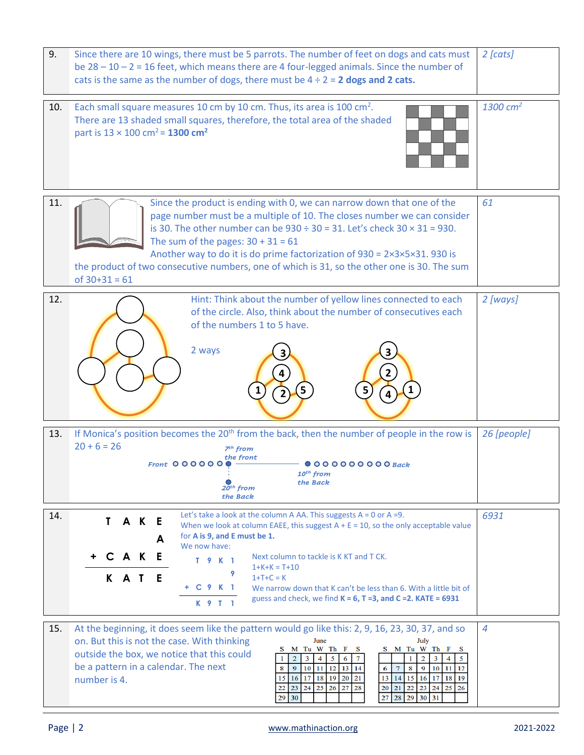